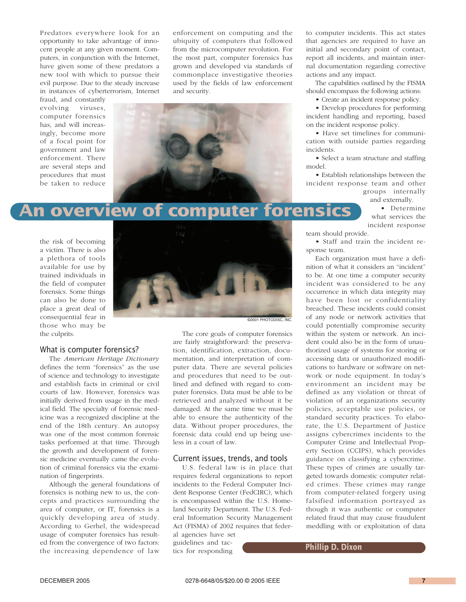Predators everywhere look for an opportunity to take advantage of innocent people at any given moment. Computers, in conjunction with the Internet, have given some of these predators a new tool with which to pursue their evil purpose. Due to the steady increase in instances of cyberterrorism, Internet

fraud, and constantly evolving viruses, computer forensics has, and will increasingly, become more of a focal point for government and law enforcement. There are several steps and procedures that must be taken to reduce

enforcement on computing and the ubiquity of computers that followed from the microcomputer revolution. For the most part, computer forensics has grown and developed via standards of commonplace investigative theories used by the fields of law enforcement and security.



# **An overview of computer forensics**

the risk of becoming a victim. There is also a plethora of tools available for use by trained individuals in the field of computer forensics. Some things can also be done to place a great deal of consequential fear in those who may be the culprits.



### What is computer forensics?

The *American Heritage Dictionary* defines the term "forensics" as the use of science and technology to investigate and establish facts in criminal or civil courts of law. However, forensics was initially derived from usage in the medical field. The specialty of forensic medicine was a recognized discipline at the end of the 18th century. An autopsy was one of the most common forensic tasks performed at that time. Through the growth and development of forensic medicine eventually came the evolution of criminal forensics via the examination of fingerprints.

Although the general foundations of forensics is nothing new to us, the concepts and practices surrounding the area of computer, or IT, forensics is a quickly developing area of study. According to Gerhel, the widespread usage of computer forensics has resulted from the convergence of two factors: the increasing dependence of law

The core goals of computer forensics are fairly straightforward: the preservation, identification, extraction, documentation, and interpretation of computer data. There are several policies and procedures that need to be outlined and defined with regard to computer forensics. Data must be able to be retrieved and analyzed without it be damaged. At the same time we must be able to ensure the authenticity of the data. Without proper procedures, the forensic data could end up being useless in a court of law.

#### Current issues, trends, and tools

U.S. federal law is in place that requires federal organizations to report incidents to the Federal Computer Incident Response Center (FedCIRC), which is encompassed within the U.S. Homeland Security Department. The U.S. Federal Information Security Management Act (FISMA) of 2002 requires that federal agencies have set

guidelines and tactics for responding to computer incidents. This act states that agencies are required to have an initial and secondary point of contact, report all incidents, and maintain internal documentation regarding corrective actions and any impact.

The capabilities outlined by the FISMA should encompass the following actions:

• Create an incident response policy.

• Develop procedures for performing incident handling and reporting, based on the incident response policy.

• Have set timelines for communication with outside parties regarding incidents.

• Select a team structure and staffing model.

• Establish relationships between the incident response team and other

groups internally and externally.

> • Determine what services the incident response

team should provide. • Staff and train the incident re-

sponse team. Each organization must have a definition of what it considers an "incident" to be. At one time a computer security incident was considered to be any occurrence in which data integrity may have been lost or confidentiality breached. These incidents could consist of any node or network activities that could potentially compromise security within the system or network. An incident could also be in the form of unauthorized usage of systems for storing or accessing data or unauthorized modifications to hardware or software on network or node equipment. In today's environment an incident may be defined as any violation or threat of violation of an organizations security policies, acceptable use policies, or standard security practices. To elaborate, the U.S. Department of Justice assigns cybercrimes incidents to the Computer Crime and Intellectual Property Section (CCIPS), which provides guidance on classifying a cybercrime. These types of crimes are usually targeted towards domestic computer related crimes. These crimes may range from computer-related forgery using falsified information portrayed as though it was authentic or computer related fraud that may cause fraudulent meddling with or exploitation of data

**Phillip D. Dixon**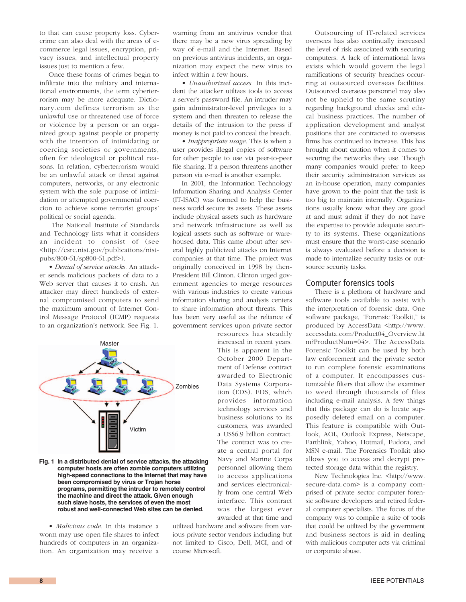to that can cause property loss. Cybercrime can also deal with the areas of ecommerce legal issues, encryption, privacy issues, and intellectual property issues just to mention a few.

Once these forms of crimes begin to infiltrate into the military and international environments, the term cyberterrorism may be more adequate. Dictionary.com defines terrorism as the unlawful use or threatened use of force or violence by a person or an organized group against people or property with the intention of intimidating or coercing societies or governments, often for ideological or political reasons. In relation, cyberterrorism would be an unlawful attack or threat against computers, networks, or any electronic system with the sole purpose of intimidation or attempted governmental coercion to achieve some terrorist groups' political or social agenda.

The National Institute of Standards and Technology lists what it considers an incident to consist of (see <http://csrc.nist.gov/publications/nistpubs/800-61/sp800-61.pdf>).

• *Denial of service attacks.* An attacker sends malicious packets of data to a Web server that causes it to crash. An attacker may direct hundreds of external compromised computers to send the maximum amount of Internet Control Message Protocol (ICMP) requests to an organization's network. See Fig. 1.



**Fig. 1 In a distributed denial of service attacks, the attacking computer hosts are often zombie computers utilizing high-speed connections to the Internet that may have been compromised by virus or Trojan horse programs, permitting the intruder to remotely control the machine and direct the attack. Given enough such slave hosts, the services of even the most robust and well-connected Web sites can be denied.**

• *Malicious code.* In this instance a worm may use open file shares to infect hundreds of computers in an organization. An organization may receive a warning from an antivirus vendor that there may be a new virus spreading by way of e-mail and the Internet. Based on previous antivirus incidents, an organization may expect the new virus to infect within a few hours.

• *Unauthorized access.* In this incident the attacker utilizes tools to access a server's password file. An intruder may gain administrator-level privileges to a system and then threaten to release the details of the intrusion to the press if money is not paid to conceal the breach.

• *Inappropriate usage.* This is when a user provides illegal copies of software for other people to use via peer-to-peer file sharing. If a person threatens another person via e-mail is another example.

In 2001, the Information Technology Information Sharing and Analysis Center (IT-ISAC) was formed to help the business world secure its assets. These assets include physical assets such as hardware and network infrastructure as well as logical assets such as software or warehoused data. This came about after several highly publicized attacks on Internet companies at that time. The project was originally conceived in 1998 by then-President Bill Clinton. Clinton urged government agencies to merge resources with various industries to create various information sharing and analysis centers to share information about threats. This has been very useful as the reliance of government services upon private sector

> resources has steadily increased in recent years. This is apparent in the October 2000 Department of Defense contract awarded to Electronic Data Systems Corporation (EDS). EDS, which provides information technology services and business solutions to its customers, was awarded a US\$6.9 billion contract. The contract was to create a central portal for Navy and Marine Corps personnel allowing them to access applications and services electronically from one central Web interface. This contract was the largest ever awarded at that time and

utilized hardware and software from various private sector vendors including but not limited to Cisco, Dell, MCI, and of course Microsoft.

Outsourcing of IT-related services oversees has also continually increased the level of risk associated with securing computers. A lack of international laws exists which would govern the legal ramifications of security breaches occurring at outsourced overseas facilities. Outsourced overseas personnel may also not be upheld to the same scrutiny regarding background checks and ethical business practices. The number of application development and analyst positions that are contracted to overseas firms has continued to increase. This has brought about caution when it comes to securing the networks they use. Though many companies would prefer to keep their security administration services as an in-house operation, many companies have grown to the point that the task is too big to maintain internally. Organizations usually know what they are good at and must admit if they do not have the expertise to provide adequate security to its systems. These organizations must ensure that the worst-case scenario is always evaluated before a decision is made to internalize security tasks or outsource security tasks.

### Computer forensics tools

There is a plethora of hardware and software tools available to assist with the interpretation of forensic data. One software package, "Forensic Toolkit," is produced by AccessData <http://www. accessdata.com/Product04\_Overview.ht m?ProductNum=04>. The AccessData Forensic Toolkit can be used by both law enforcement and the private sector to run complete forensic examinations of a computer. It encompasses customizable filters that allow the examiner to weed through thousands of files including e-mail analysis. A few things that this package can do is locate supposedly deleted email on a computer. This feature is compatible with Outlook, AOL, Outlook Express, Netscape, Earthlink, Yahoo, Hotmail, Eudora, and MSN e-mail. The Forensics Toolkit also allows you to access and decrypt protected storage data within the registry.

New Technologies Inc. <http://www. secure-data.com> is a company comprised of private sector computer forensic software developers and retired federal computer specialists. The focus of the company was to compile a suite of tools that could be utilized by the government and business sectors is aid in dealing with malicious computer acts via criminal or corporate abuse.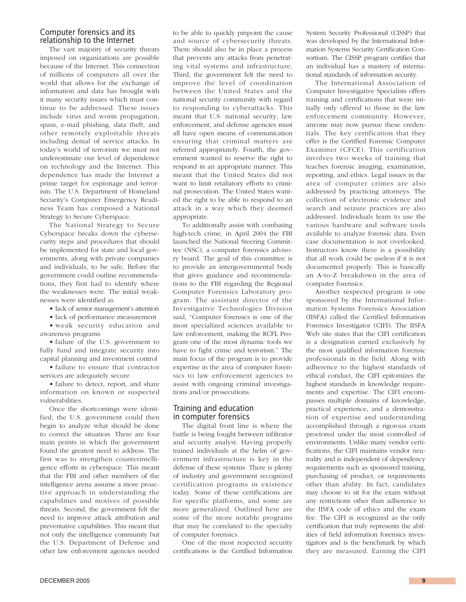# Computer forensics and its relationship to the Internet

The vast majority of security threats imposed on organizations are possible because of the Internet. This connection of millions of computers all over the world that allows for the exchange of information and data has brought with it many security issues which must continue to be addressed. These issues include virus and worm propagation, spam, e-mail phishing, data theft, and other remotely exploitable threats including denial of service attacks. In today's world of terrorism we must not underestimate our level of dependence on technology and the Internet. This dependence has made the Internet a prime target for espionage and terrorism. The U.S. Department of Homeland Security's Computer Emergency Readiness Team has composed a National Strategy to Secure Cyberspace.

The National Strategy to Secure Cyberspace breaks down the cybersecurity steps and procedures that should be implemented for state and local governments, along with private companies and individuals, to be safe. Before the government could outline recommendations, they first had to identify where the weaknesses were. The initial weaknesses were identified as

• lack of senior management's attention

• lack of performance measurement

• weak security education and awareness programs

• failure of the U.S. government to fully fund and integrate security into capital planning and investment control

• failure to ensure that contractor services are adequately secure

• failure to detect, report, and share information on known or suspected vulnerabilities.

Once the shortcomings were identified, the U.S. government could then begin to analyze what should be done to correct the situation. There are four main points in which the government found the greatest need to address. The first was to strengthen counterintelligence efforts in cyberspace. This meant that the FBI and other members of the intelligence arena assume a more proactive approach in understanding the capabilities and motives of possible threats. Second, the government felt the need to improve attack attribution and preventative capabilities. This meant that not only the intelligence community but the U.S. Department of Defense and other law enforcement agencies needed

to be able to quickly pinpoint the cause and source of cybersecurity threats. There should also be in place a process that prevents any attacks from penetrating vital systems and infrastructure. Third, the government felt the need to improve the level of coordination between the United States and the national security community with regard to responding to cyberattacks. This meant that U.S. national security, law enforcement, and defense agencies must all have open means of communication ensuring that criminal matters are referred appropriately. Fourth, the government wanted to reserve the right to respond in an appropriate manner. This meant that the United States did not want to limit retaliatory efforts to criminal prosecution. The United States wanted the right to be able to respond to an attack in a way which they deemed appropriate.

To additionally assist with combating high-tech crime, in April 2004 the FBI launched the National Steering Committee (NSC), a computer forensics advisory board. The goal of this committee is to provide an intergovernmental body that gives guidance and recommendations to the FBI regarding the Regional Computer Forensics Laboratory program. The assistant director of the Investigative Technologies Division said, "Computer forensics is one of the most specialized sciences available to law enforcement, making the RCFL Program one of the most dynamic tools we have to fight crime and terrorism." The main focus of the program is to provide expertise in the area of computer forensics to law enforcement agencies to assist with ongoing criminal investigations and/or prosecutions.

# Training and education in computer forensics

The digital front line is where the battle is being fought between infiltrator and security analyst. Having properly trained individuals at the helm of government infrastructure is key in the defense of these systems. There is plenty of industry and government recognized certification programs in existence today. Some of these certifications are for specific platforms, and some are more generalized. Outlined here are some of the more notable programs that may be correlated to the specialty of computer forensics.

One of the most respected security certifications is the Certified Information System Security Professional (CISSP) that was developed by the International Information Systems Security Certification Consortium. The CISSP program certifies that an individual has a mastery of international standards of information security.

The International Association of Computer Investigative Specialists offers training and certifications that were initially only offered to those in the law enforcement community. However, anyone may now pursue these credentials. The key certification that they offer is the Certified Forensic Computer Examiner (CFCE). This certification involves two weeks of training that teaches forensic imaging, examination, reporting, and ethics. Legal issues in the area of computer crimes are also addressed by practicing attorneys. The collection of electronic evidence and search and seizure practices are also addressed. Individuals learn to use the various hardware and software tools available to analyze forensic data. Even case documentation is not overlooked. Instructors know there is a possibility that all work could be useless if it is not documented properly. This is basically an A-to-Z breakdown in the area of computer forensics.

Another respected program is one sponsored by the International Information Systems Forensics Association (IISFA) called the Certified Information Forensics Investigator (CIFI). The IISFA Web site states that the CIFI certification is a designation earned exclusively by the most qualified information forensic professionals in the field. Along with adherence to the highest standards of ethical conduct, the CIFI epitomizes the highest standards in knowledge requirements and expertise. The CIFI encompasses multiple domains of knowledge, practical experience, and a demonstration of expertise and understanding accomplished through a rigorous exam proctored under the most controlled of environments. Unlike many vendor certifications, the CIFI maintains vendor neutrality and is independent of dependency requirements such as sponsored training, purchasing of product, or requirements other than ability. In fact, candidates may choose to sit for the exam without any restrictions other than adherence to the IISFA code of ethics and the exam fee. The CIFI is recognized as the only certification that truly represents the abilities of field information forensics investigators and is the benchmark by which they are measured. Earning the CIFI